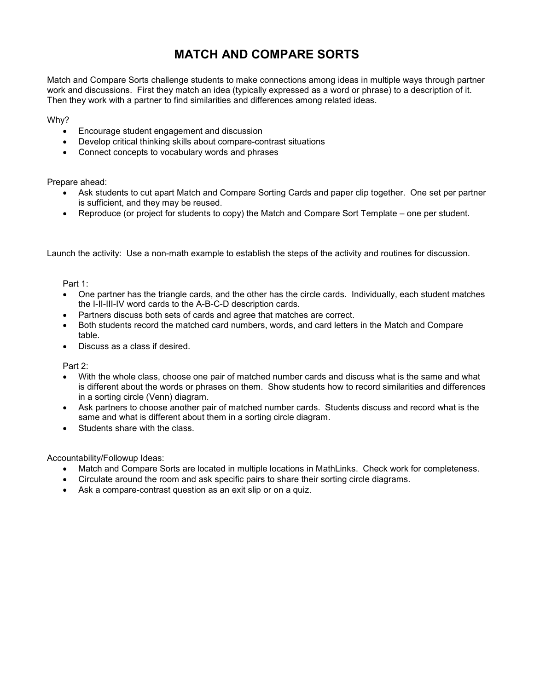## **MATCH AND COMPARE SORTS**

Match and Compare Sorts challenge students to make connections among ideas in multiple ways through partner work and discussions. First they match an idea (typically expressed as a word or phrase) to a description of it. Then they work with a partner to find similarities and differences among related ideas.

Why?

- Encourage student engagement and discussion
- Develop critical thinking skills about compare-contrast situations
- Connect concepts to vocabulary words and phrases

Prepare ahead:

- Ask students to cut apart Match and Compare Sorting Cards and paper clip together. One set per partner is sufficient, and they may be reused.
- Reproduce (or project for students to copy) the Match and Compare Sort Template one per student.

Launch the activity: Use a non-math example to establish the steps of the activity and routines for discussion.

Part 1:

- One partner has the triangle cards, and the other has the circle cards. Individually, each student matches the I-II-III-IV word cards to the A-B-C-D description cards.
- Partners discuss both sets of cards and agree that matches are correct.
- Both students record the matched card numbers, words, and card letters in the Match and Compare table.
- Discuss as a class if desired.

Part 2:

- With the whole class, choose one pair of matched number cards and discuss what is the same and what is different about the words or phrases on them. Show students how to record similarities and differences in a sorting circle (Venn) diagram.
- Ask partners to choose another pair of matched number cards. Students discuss and record what is the same and what is different about them in a sorting circle diagram.
- Students share with the class.

Accountability/Followup Ideas:

- Match and Compare Sorts are located in multiple locations in MathLinks. Check work for completeness.
- Circulate around the room and ask specific pairs to share their sorting circle diagrams.
- Ask a compare-contrast question as an exit slip or on a quiz.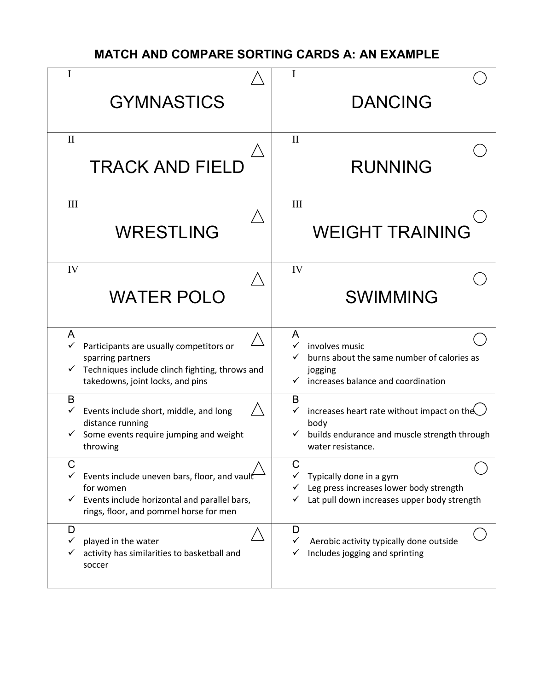### **MATCH AND COMPARE SORTING CARDS A: AN EXAMPLE**

| Ι<br><b>GYMNASTICS</b>                                                                                                                                                   | <b>DANCING</b>                                                                                                                     |
|--------------------------------------------------------------------------------------------------------------------------------------------------------------------------|------------------------------------------------------------------------------------------------------------------------------------|
| $\mathbf{I}$<br><b>TRACK AND FIELD</b>                                                                                                                                   | $\mathbf{I}$<br><b>RUNNING</b>                                                                                                     |
| III<br><b>WRESTLING</b>                                                                                                                                                  | III<br><b>WEIGHT TRAINING</b>                                                                                                      |
| IV<br><b>WATER POLO</b>                                                                                                                                                  | IV<br><b>SWIMMING</b>                                                                                                              |
| A<br>$\checkmark$<br>Participants are usually competitors or<br>sparring partners<br>Techniques include clinch fighting, throws and<br>takedowns, joint locks, and pins  | A<br>$\checkmark$<br>involves music<br>burns about the same number of calories as<br>jogging<br>increases balance and coordination |
| B<br>Events include short, middle, and long<br>distance running<br>Some events require jumping and weight<br>throwing                                                    | B<br>increases heart rate without impact on the<br>✓<br>body<br>builds endurance and muscle strength through<br>water resistance.  |
| C<br>$\checkmark$<br>Events include uneven bars, floor, and vault<br>for women<br>Events include horizontal and parallel bars,<br>rings, floor, and pommel horse for men | C<br>Typically done in a gym<br>Leg press increases lower body strength<br>Lat pull down increases upper body strength             |
| D<br>played in the water<br>activity has similarities to basketball and<br>soccer                                                                                        | D<br>Aerobic activity typically done outside<br>Includes jogging and sprinting                                                     |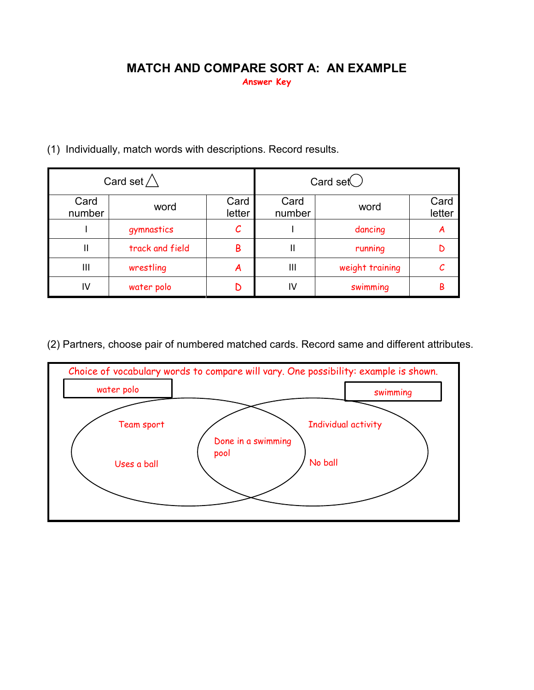#### **MATCH AND COMPARE SORT A: AN EXAMPLE Answer Key**

|  | (1) Individually, match words with descriptions. Record results. |  |  |
|--|------------------------------------------------------------------|--|--|
|  |                                                                  |  |  |

| Card set $\bigwedge$ |                 |                | Card set $\bigcirc$ |                 |                |
|----------------------|-----------------|----------------|---------------------|-----------------|----------------|
| Card<br>number       | word            | Card<br>letter | Card<br>number      | word            | Card<br>letter |
|                      | gymnastics      |                |                     | dancing         | A              |
| II                   | track and field | B              | Ш                   | running         |                |
| $\mathbf{III}$       | wrestling       | A              | Ш                   | weight training |                |
| IV                   | water polo      |                | IV                  | swimming        | В              |

(2) Partners, choose pair of numbered matched cards. Record same and different attributes.

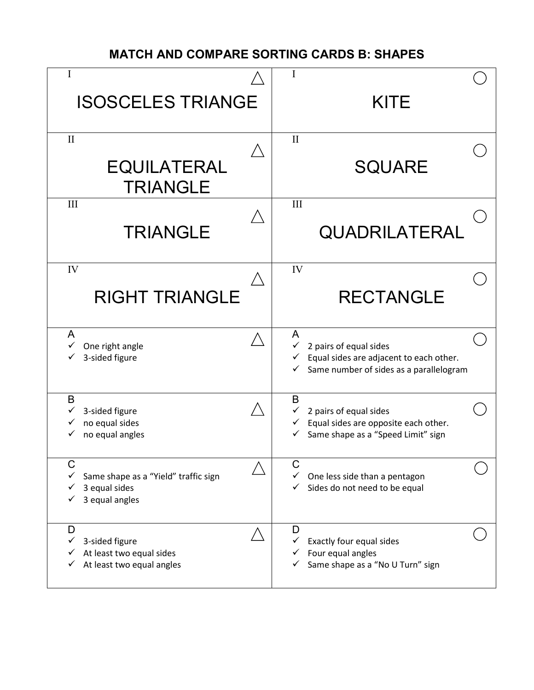#### **MATCH AND COMPARE SORTING CARDS B: SHAPES**

| I<br><b>ISOSCELES TRIANGE</b>                                                     | I<br><b>KITE</b>                                                                                                                                  |
|-----------------------------------------------------------------------------------|---------------------------------------------------------------------------------------------------------------------------------------------------|
| $\mathbf{I}$<br><b>EQUILATERAL</b><br><b>TRIANGLE</b>                             | $\mathbf{I}$<br><b>SQUARE</b>                                                                                                                     |
| III<br><b>TRIANGLE</b>                                                            | III<br>QUADRILATERAL                                                                                                                              |
| IV<br><b>RIGHT TRIANGLE</b>                                                       | IV<br><b>RECTANGLE</b>                                                                                                                            |
| A<br>$\checkmark$<br>One right angle<br>3-sided figure                            | A<br>2 pairs of equal sides<br>$\checkmark$<br>Equal sides are adjacent to each other.<br>Same number of sides as a parallelogram<br>$\checkmark$ |
| B<br>3-sided figure<br>no equal sides<br>no equal angles                          | B<br>2 pairs of equal sides<br>Equal sides are opposite each other.<br>✓<br>Same shape as a "Speed Limit" sign<br>$\checkmark$                    |
| C<br>Same shape as a "Yield" traffic sign<br>3 equal sides<br>3 equal angles      | C<br>One less side than a pentagon<br>Sides do not need to be equal                                                                               |
| D<br>3-sided figure<br>✓<br>At least two equal sides<br>At least two equal angles | D<br>Exactly four equal sides<br>✓<br>Four equal angles<br>Same shape as a "No U Turn" sign<br>✓                                                  |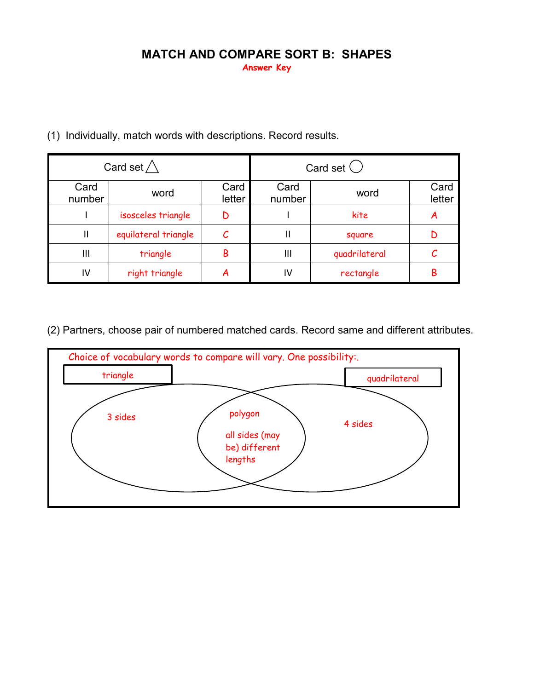# **MATCH AND COMPARE SORT B: SHAPES**

**Answer Key**

| Card set $\wedge$ |                      |                | Card set $\bigcirc$ |               |                |
|-------------------|----------------------|----------------|---------------------|---------------|----------------|
| Card<br>number    | word                 | Card<br>letter | Card<br>number      | word          | Card<br>letter |
|                   | isosceles triangle   |                |                     | kite          | A              |
| Ш                 | equilateral triangle |                | Ш                   | square        |                |
| $\mathbf{III}$    | triangle             | B              | $\mathsf{III}$      | quadrilateral |                |
| IV                | right triangle       | A              | I٧                  | rectangle     | В              |

(1) Individually, match words with descriptions. Record results.

(2) Partners, choose pair of numbered matched cards. Record same and different attributes.